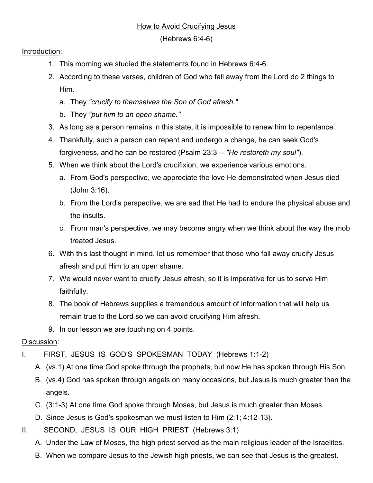## How to Avoid Crucifying Jesus

(Hebrews 6:4-6)

## Introduction:

- 1. This morning we studied the statements found in Hebrews 6:4-6.
- 2. According to these verses, children of God who fall away from the Lord do 2 things to Him.
	- a. They *"crucify to themselves the Son of God afresh."*
	- b. They *"put him to an open shame."*
- 3. As long as a person remains in this state, it is impossible to renew him to repentance.
- 4. Thankfully, such a person can repent and undergo a change, he can seek God's forgiveness, and he can be restored (Psalm 23:3 -- *"He restoreth my soul"*).
- 5. When we think about the Lord's crucifixion, we experience various emotions.
	- a. From God's perspective, we appreciate the love He demonstrated when Jesus died (John 3:16).
	- b. From the Lord's perspective, we are sad that He had to endure the physical abuse and the insults.
	- c. From man's perspective, we may become angry when we think about the way the mob treated Jesus.
- 6. With this last thought in mind, let us remember that those who fall away crucify Jesus afresh and put Him to an open shame.
- 7. We would never want to crucify Jesus afresh, so it is imperative for us to serve Him faithfully.
- 8. The book of Hebrews supplies a tremendous amount of information that will help us remain true to the Lord so we can avoid crucifying Him afresh.
- 9. In our lesson we are touching on 4 points.

## Discussion:

- I. FIRST, JESUS IS GOD'S SPOKESMAN TODAY (Hebrews 1:1-2)
	- A. (vs.1) At one time God spoke through the prophets, but now He has spoken through His Son.
	- B. (vs.4) God has spoken through angels on many occasions, but Jesus is much greater than the angels.
	- C. (3:1-3) At one time God spoke through Moses, but Jesus is much greater than Moses.
	- D. Since Jesus is God's spokesman we must listen to Him (2:1; 4:12-13).
- II. SECOND, JESUS IS OUR HIGH PRIEST (Hebrews 3:1)
	- A. Under the Law of Moses, the high priest served as the main religious leader of the Israelites.
	- B. When we compare Jesus to the Jewish high priests, we can see that Jesus is the greatest.